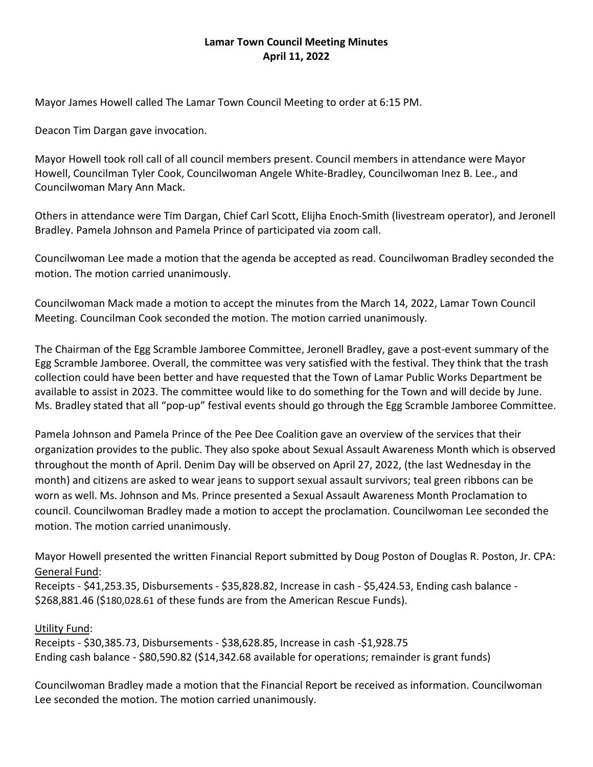## **Lamar Town Council Meeting Minutes April 11, 2022**

Mayor James Howell called The Lamar Town Council Meeting to order at 6:15 PM.

Deacon Tim Dargan gave invocation.

Mayor Howell took roll call of all council members present. Council members in attendance were Mayor Howell, Councilman Tyler Cook, Councilwoman Angele White-Bradley, Councilwoman Inez B. Lee., and Councilwoman Mary Ann Mack.

Others in attendance were Tim Dargan, Chief Carl Scott, Elijha Enoch-Smith (livestream operator), and Jeronell Bradley. Pamela Johnson and Pamela Prince of participated via zoom call.

Councilwoman Lee made a motion that the agenda be accepted as read. Councilwoman Bradley seconded the motion. The motion carried unanimously.

Councilwoman Mack made a motion to accept the minutes from the March 14, 2022, Lamar Town Council Meeting. Councilman Cook seconded the motion. The motion carried unanimously.

The Chairman of the Egg Scramble Jamboree Committee, Jeronell Bradley, gave a post-event summary of the Egg Scramble Jamboree. Overall, the committee was very satisfied with the festival. They think that the trash collection could have been better and have requested that the Town of Lamar Public Works Department be available to assist in 2023. The committee would like to do something for the Town and will decide by June. Ms. Bradley stated that all "pop-up" festival events should go through the Egg Scramble Jamboree Committee.

Pamela Johnson and Pamela Prince of the Pee Dee Coalition gave an overview of the services that their organization provides to the public. They also spoke about Sexual Assault Awareness Month which is observed throughout the month of April. Denim Day will be observed on April 27, 2022, (the last Wednesday in the month) and citizens are asked to wear jeans to support sexual assault survivors; teal green ribbons can be worn as well. Ms. Johnson and Ms. Prince presented a Sexual Assault Awareness Month Proclamation to council. Councilwoman Bradley made a motion to accept the proclamation. Councilwoman Lee seconded the motion. The motion carried unanimously.

Mayor Howell presented the written Financial Report submitted by Doug Poston of Douglas R. Poston, Jr. CPA: General Fund:

Receipts - \$41,253.35, Disbursements - \$35,828.82, Increase in cash - \$5,424.53, Ending cash balance -\$268,881.46 (\$180,028.61 of these funds are from the American Rescue Funds).

## Utility Fund:

Receipts - \$30,385.73, Disbursements - \$38,628.85, Increase in cash -\$1,928.75 Ending cash balance - \$80,590.82 (\$14,342.68 available for operations; remainder is grant funds)

Councilwoman Bradley made a motion that the Financial Report be received as information. Councilwoman Lee seconded the motion. The motion carried unanimously.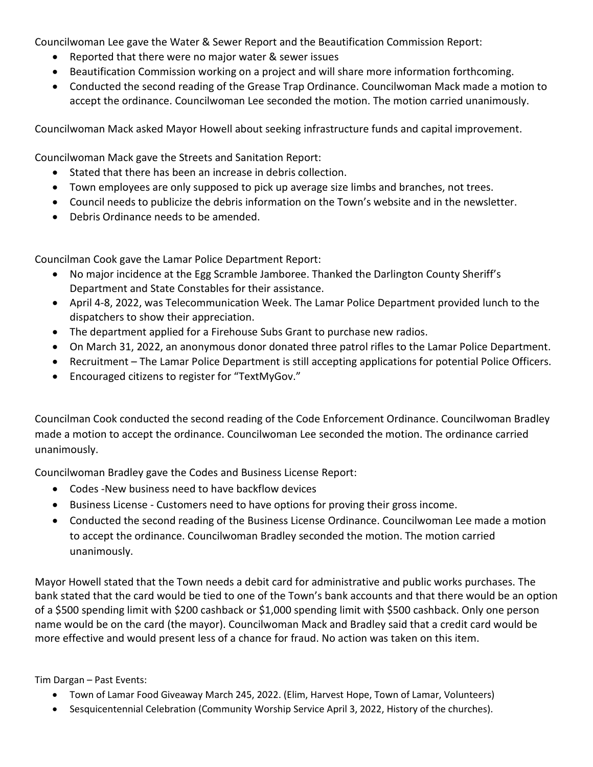Councilwoman Lee gave the Water & Sewer Report and the Beautification Commission Report:

- Reported that there were no major water & sewer issues
- Beautification Commission working on a project and will share more information forthcoming.
- Conducted the second reading of the Grease Trap Ordinance. Councilwoman Mack made a motion to accept the ordinance. Councilwoman Lee seconded the motion. The motion carried unanimously.

Councilwoman Mack asked Mayor Howell about seeking infrastructure funds and capital improvement.

Councilwoman Mack gave the Streets and Sanitation Report:

- Stated that there has been an increase in debris collection.
- Town employees are only supposed to pick up average size limbs and branches, not trees.
- Council needs to publicize the debris information on the Town's website and in the newsletter.
- Debris Ordinance needs to be amended.

Councilman Cook gave the Lamar Police Department Report:

- No major incidence at the Egg Scramble Jamboree. Thanked the Darlington County Sheriff's Department and State Constables for their assistance.
- April 4-8, 2022, was Telecommunication Week. The Lamar Police Department provided lunch to the dispatchers to show their appreciation.
- The department applied for a Firehouse Subs Grant to purchase new radios.
- On March 31, 2022, an anonymous donor donated three patrol rifles to the Lamar Police Department.
- Recruitment The Lamar Police Department is still accepting applications for potential Police Officers.
- Encouraged citizens to register for "TextMyGov."

Councilman Cook conducted the second reading of the Code Enforcement Ordinance. Councilwoman Bradley made a motion to accept the ordinance. Councilwoman Lee seconded the motion. The ordinance carried unanimously.

Councilwoman Bradley gave the Codes and Business License Report:

- Codes -New business need to have backflow devices
- Business License Customers need to have options for proving their gross income.
- Conducted the second reading of the Business License Ordinance. Councilwoman Lee made a motion to accept the ordinance. Councilwoman Bradley seconded the motion. The motion carried unanimously.

Mayor Howell stated that the Town needs a debit card for administrative and public works purchases. The bank stated that the card would be tied to one of the Town's bank accounts and that there would be an option of a \$500 spending limit with \$200 cashback or \$1,000 spending limit with \$500 cashback. Only one person name would be on the card (the mayor). Councilwoman Mack and Bradley said that a credit card would be more effective and would present less of a chance for fraud. No action was taken on this item.

Tim Dargan – Past Events:

- Town of Lamar Food Giveaway March 245, 2022. (Elim, Harvest Hope, Town of Lamar, Volunteers)
- Sesquicentennial Celebration (Community Worship Service April 3, 2022, History of the churches).